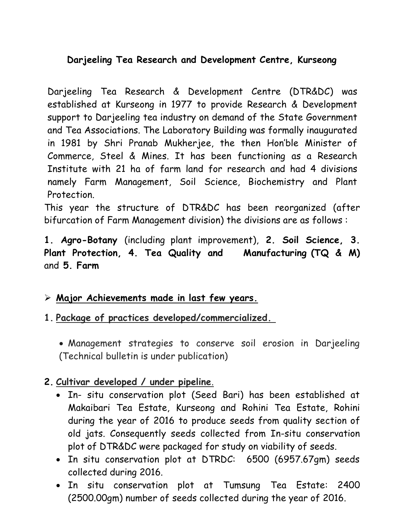#### **Darjeeling Tea Research and Development Centre, Kurseong**

Darjeeling Tea Research & Development Centre (DTR&DC) was established at Kurseong in 1977 to provide Research & Development support to Darjeeling tea industry on demand of the State Government and Tea Associations. The Laboratory Building was formally inaugurated in 1981 by Shri Pranab Mukherjee, the then Hon'ble Minister of Commerce, Steel & Mines. It has been functioning as a Research Institute with 21 ha of farm land for research and had 4 divisions namely Farm Management, Soil Science, Biochemistry and Plant Protection.

This year the structure of DTR&DC has been reorganized (after bifurcation of Farm Management division) the divisions are as follows :

**1. Agro-Botany** (including plant improvement), **2. Soil Science, 3. Plant Protection, 4. Tea Quality and Manufacturing (TQ & M)**  and **5. Farm** 

#### **Major Achievements made in last few years.**

- **1. Package of practices developed/commercialized.**
	- Management strategies to conserve soil erosion in Darjeeling (Technical bulletin is under publication)

## **2. Cultivar developed / under pipeline**.

- In- situ conservation plot (Seed Bari) has been established at Makaibari Tea Estate, Kurseong and Rohini Tea Estate, Rohini during the year of 2016 to produce seeds from quality section of old jats. Consequently seeds collected from In-situ conservation plot of DTR&DC were packaged for study on viability of seeds.
- In situ conservation plot at DTRDC: 6500 (6957.67gm) seeds collected during 2016.
- In situ conservation plot at Tumsung Tea Estate: 2400 (2500.00gm) number of seeds collected during the year of 2016.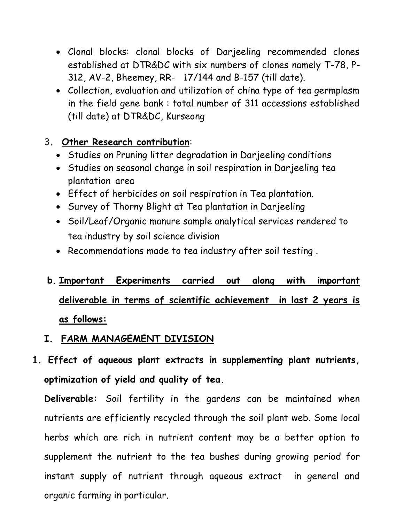- Clonal blocks: clonal blocks of Darjeeling recommended clones established at DTR&DC with six numbers of clones namely T-78, P-312, AV-2, Bheemey, RR- 17/144 and B-157 (till date).
- Collection, evaluation and utilization of china type of tea germplasm in the field gene bank : total number of 311 accessions established (till date) at DTR&DC, Kurseong

#### 3**. Other Research contribution**:

- Studies on Pruning litter degradation in Darjeeling conditions
- Studies on seasonal change in soil respiration in Darjeeling tea plantation area
- Effect of herbicides on soil respiration in Tea plantation.
- Survey of Thorny Blight at Tea plantation in Darjeeling
- Soil/Leaf/Organic manure sample analytical services rendered to tea industry by soil science division
- Recommendations made to tea industry after soil testing .

# **b. Important Experiments carried out along with important deliverable in terms of scientific achievement in last 2 years is as follows:**

#### **I. FARM MANAGEMENT DIVISION**

**1. Effect of aqueous plant extracts in supplementing plant nutrients, optimization of yield and quality of tea.** 

**Deliverable:** Soil fertility in the gardens can be maintained when nutrients are efficiently recycled through the soil plant web. Some local herbs which are rich in nutrient content may be a better option to supplement the nutrient to the tea bushes during growing period for instant supply of nutrient through aqueous extract in general and organic farming in particular.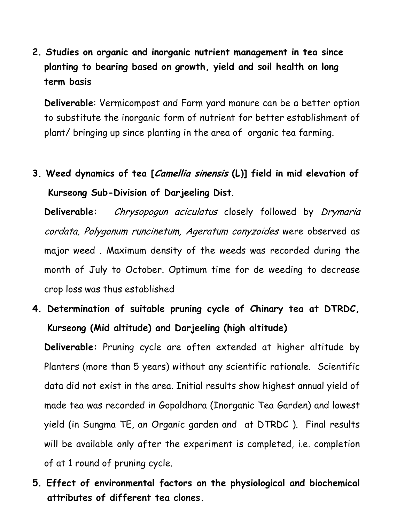**2. Studies on organic and inorganic nutrient management in tea since planting to bearing based on growth, yield and soil health on long term basis**

**Deliverable**: Vermicompost and Farm yard manure can be a better option to substitute the inorganic form of nutrient for better establishment of plant/ bringing up since planting in the area of organic tea farming.

**3. Weed dynamics of tea [Camellia sinensis (L)] field in mid elevation of Kurseong Sub-Division of Darjeeling Dist**.

**Deliverable:** Chrysopogun aciculatus closely followed by Drymaria cordata, Polygonum runcinetum, Ageratum conyzoides were observed as major weed . Maximum density of the weeds was recorded during the month of July to October. Optimum time for de weeding to decrease crop loss was thus established

**4. Determination of suitable pruning cycle of Chinary tea at DTRDC, Kurseong (Mid altitude) and Darjeeling (high altitude)**

**Deliverable:** Pruning cycle are often extended at higher altitude by Planters (more than 5 years) without any scientific rationale. Scientific data did not exist in the area. Initial results show highest annual yield of made tea was recorded in Gopaldhara (Inorganic Tea Garden) and lowest yield (in Sungma TE, an Organic garden and at DTRDC ). Final results will be available only after the experiment is completed, i.e. completion of at 1 round of pruning cycle.

**5. Effect of environmental factors on the physiological and biochemical attributes of different tea clones.**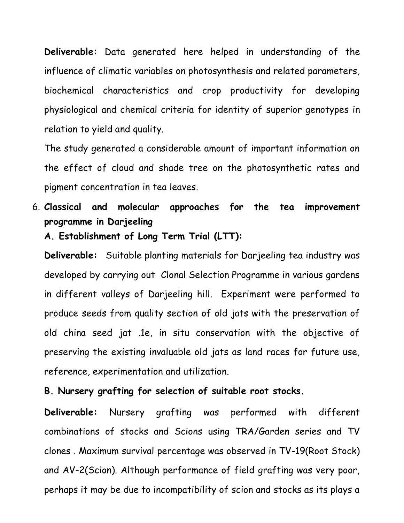**Deliverable:** Data generated here helped in understanding of the influence of climatic variables on photosynthesis and related parameters, biochemical characteristics and crop productivity for developing physiological and chemical criteria for identity of superior genotypes in relation to yield and quality.

The study generated a considerable amount of important information on the effect of cloud and shade tree on the photosynthetic rates and pigment concentration in tea leaves.

- 6. **Classical and molecular approaches for the tea improvement programme in Darjeeling**
	- **A. Establishment of Long Term Trial (LTT):**

**Deliverable:** Suitable planting materials for Darjeeling tea industry was developed by carrying out Clonal Selection Programme in various gardens in different valleys of Darjeeling hill. Experiment were performed to produce seeds from quality section of old jats with the preservation of old china seed jat .1e, in situ conservation with the objective of preserving the existing invaluable old jats as land races for future use, reference, experimentation and utilization.

#### **B. Nursery grafting for selection of suitable root stocks.**

**Deliverable:** Nursery grafting was performed with different combinations of stocks and Scions using TRA/Garden series and TV clones . Maximum survival percentage was observed in TV-19(Root Stock) and AV-2(Scion). Although performance of field grafting was very poor, perhaps it may be due to incompatibility of scion and stocks as its plays a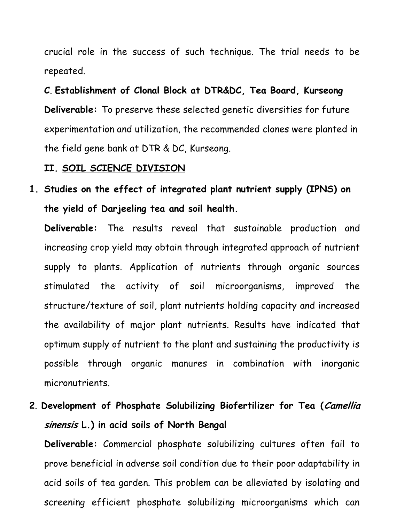crucial role in the success of such technique. The trial needs to be repeated.

**C**. **Establishment of Clonal Block at DTR&DC, Tea Board, Kurseong Deliverable:** To preserve these selected genetic diversities for future experimentation and utilization, the recommended clones were planted in the field gene bank at DTR & DC, Kurseong.

#### **II. SOIL SCIENCE DIVISION**

**1. Studies on the effect of integrated plant nutrient supply (IPNS) on the yield of Darjeeling tea and soil health.** 

**Deliverable:** The results reveal that sustainable production and increasing crop yield may obtain through integrated approach of nutrient supply to plants. Application of nutrients through organic sources stimulated the activity of soil microorganisms, improved the structure/texture of soil, plant nutrients holding capacity and increased the availability of major plant nutrients. Results have indicated that optimum supply of nutrient to the plant and sustaining the productivity is possible through organic manures in combination with inorganic micronutrients.

**2**. **Development of Phosphate Solubilizing Biofertilizer for Tea (Camellia sinensis L.) in acid soils of North Bengal** 

**Deliverable:** Commercial phosphate solubilizing cultures often fail to prove beneficial in adverse soil condition due to their poor adaptability in acid soils of tea garden. This problem can be alleviated by isolating and screening efficient phosphate solubilizing microorganisms which can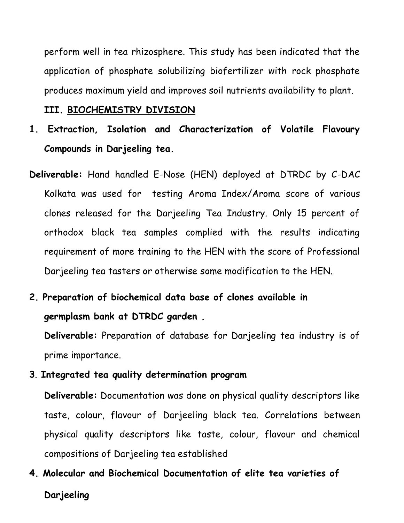perform well in tea rhizosphere. This study has been indicated that the application of phosphate solubilizing biofertilizer with rock phosphate produces maximum yield and improves soil nutrients availability to plant.

**III. BIOCHEMISTRY DIVISION**

- **1. Extraction, Isolation and Characterization of Volatile Flavoury Compounds in Darjeeling tea.**
- **Deliverable:** Hand handled E-Nose (HEN) deployed at DTRDC by C-DAC Kolkata was used for testing Aroma Index/Aroma score of various clones released for the Darjeeling Tea Industry. Only 15 percent of orthodox black tea samples complied with the results indicating requirement of more training to the HEN with the score of Professional Darjeeling tea tasters or otherwise some modification to the HEN.
- **2. Preparation of biochemical data base of clones available in germplasm bank at DTRDC garden .**

**Deliverable:** Preparation of database for Darjeeling tea industry is of prime importance.

**3**. **Integrated tea quality determination program**

**Deliverable:** Documentation was done on physical quality descriptors like taste, colour, flavour of Darjeeling black tea. Correlations between physical quality descriptors like taste, colour, flavour and chemical compositions of Darjeeling tea established

**4. Molecular and Biochemical Documentation of elite tea varieties of Darjeeling**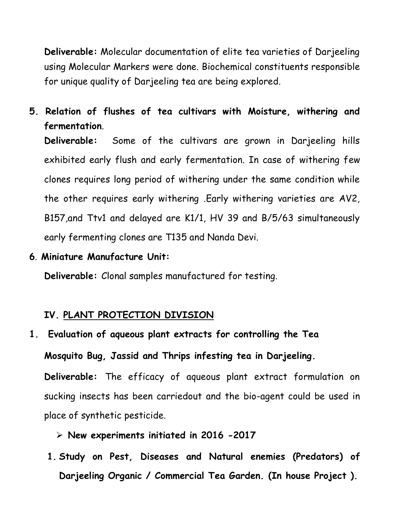**Deliverable:** Molecular documentation of elite tea varieties of Darjeeling using Molecular Markers were done. Biochemical constituents responsible for unique quality of Darjeeling tea are being explored.

**5. Relation of flushes of tea cultivars with Moisture, withering and fermentation**.

**Deliverable:** Some of the cultivars are grown in Darjeeling hills exhibited early flush and early fermentation. In case of withering few clones requires long period of withering under the same condition while the other requires early withering .Early withering varieties are AV2, B157,and Ttv1 and delayed are K1/1, HV 39 and B/5/63 simultaneously early fermenting clones are T135 and Nanda Devi.

**6**. **Miniature Manufacture Unit:**

**Deliverable:** Clonal samples manufactured for testing.

#### **IV. PLANT PROTECTION DIVISION**

**1. Evaluation of aqueous plant extracts for controlling the Tea Mosquito Bug, Jassid and Thrips infesting tea in Darjeeling. Deliverable:** The efficacy of aqueous plant extract formulation on sucking insects has been carriedout and the bio-agent could be used in

place of synthetic pesticide.

- **New experiments initiated in 2016 -2017**
- **1. Study on Pest, Diseases and Natural enemies (Predators) of Darjeeling Organic / Commercial Tea Garden. (In house Project ).**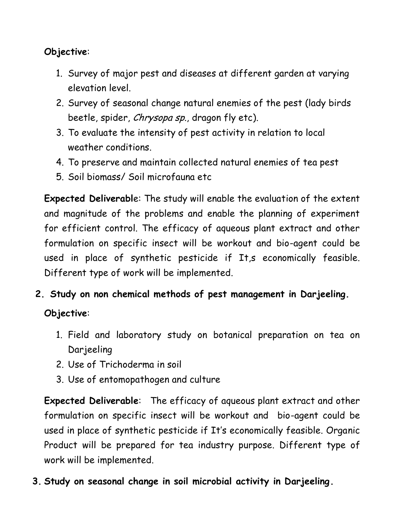## **Objective**:

- 1. Survey of major pest and diseases at different garden at varying elevation level.
- 2. Survey of seasonal change natural enemies of the pest (lady birds beetle, spider, Chrysopa sp., dragon fly etc).
- 3. To evaluate the intensity of pest activity in relation to local weather conditions.
- 4. To preserve and maintain collected natural enemies of tea pest
- 5. Soil biomass/ Soil microfauna etc

**Expected Deliverabl**e: The study will enable the evaluation of the extent and magnitude of the problems and enable the planning of experiment for efficient control. The efficacy of aqueous plant extract and other formulation on specific insect will be workout and bio-agent could be used in place of synthetic pesticide if It,s economically feasible. Different type of work will be implemented.

**2. Study on non chemical methods of pest management in Darjeeling.** 

# **Objective**:

- 1. Field and laboratory study on botanical preparation on tea on Darjeeling
- 2. Use of Trichoderma in soil
- 3. Use of entomopathogen and culture

**Expected Deliverable**: The efficacy of aqueous plant extract and other formulation on specific insect will be workout and bio-agent could be used in place of synthetic pesticide if It's economically feasible. Organic Product will be prepared for tea industry purpose. Different type of work will be implemented.

**3. Study on seasonal change in soil microbial activity in Darjeeling.**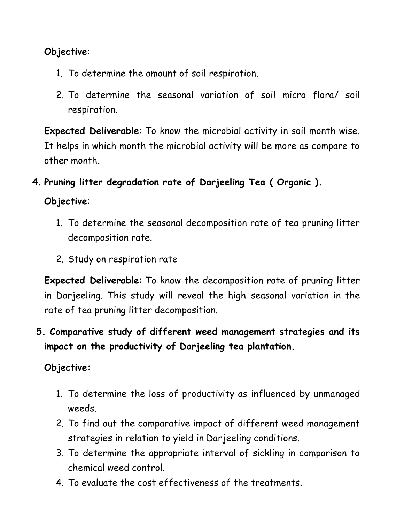#### **Objective**:

- 1. To determine the amount of soil respiration.
- 2. To determine the seasonal variation of soil micro flora/ soil respiration.

**Expected Deliverable**: To know the microbial activity in soil month wise. It helps in which month the microbial activity will be more as compare to other month.

**4. Pruning litter degradation rate of Darjeeling Tea ( Organic ).**

#### **Objective**:

- 1. To determine the seasonal decomposition rate of tea pruning litter decomposition rate.
- 2. Study on respiration rate

**Expected Deliverable**: To know the decomposition rate of pruning litter in Darjeeling. This study will reveal the high seasonal variation in the rate of tea pruning litter decomposition.

# **5. Comparative study of different weed management strategies and its impact on the productivity of Darjeeling tea plantation.**

## **Objective:**

- 1. To determine the loss of productivity as influenced by unmanaged weeds.
- 2. To find out the comparative impact of different weed management strategies in relation to yield in Darjeeling conditions.
- 3. To determine the appropriate interval of sickling in comparison to chemical weed control.
- 4. To evaluate the cost effectiveness of the treatments.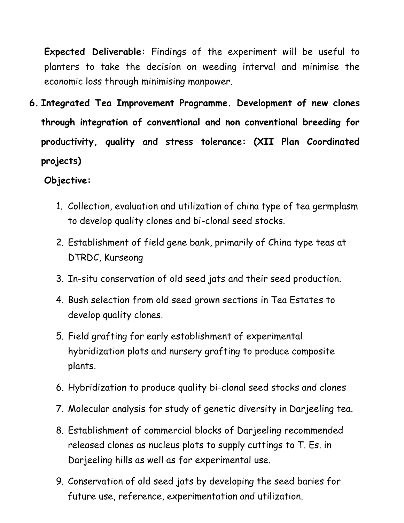**Expected Deliverable:** Findings of the experiment will be useful to planters to take the decision on weeding interval and minimise the economic loss through minimising manpower.

**6. Integrated Tea Improvement Programme. Development of new clones through integration of conventional and non conventional breeding for productivity, quality and stress tolerance: (XII Plan Coordinated projects)**

#### **Objective:**

- 1. Collection, evaluation and utilization of china type of tea germplasm to develop quality clones and bi-clonal seed stocks.
- 2. Establishment of field gene bank, primarily of China type teas at DTRDC, Kurseong
- 3. In-situ conservation of old seed jats and their seed production.
- 4. Bush selection from old seed grown sections in Tea Estates to develop quality clones.
- 5. Field grafting for early establishment of experimental hybridization plots and nursery grafting to produce composite plants.
- 6. Hybridization to produce quality bi-clonal seed stocks and clones
- 7. Molecular analysis for study of genetic diversity in Darjeeling tea.
- 8. Establishment of commercial blocks of Darjeeling recommended released clones as nucleus plots to supply cuttings to T. Es. in Darjeeling hills as well as for experimental use.
- 9. Conservation of old seed jats by developing the seed baries for future use, reference, experimentation and utilization.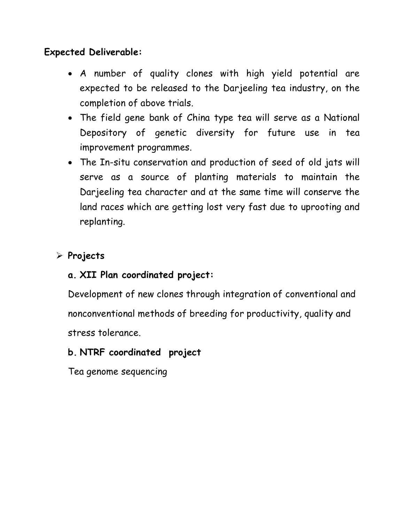#### **Expected Deliverable:**

- A number of quality clones with high yield potential are expected to be released to the Darjeeling tea industry, on the completion of above trials.
- The field gene bank of China type tea will serve as a National Depository of genetic diversity for future use in tea improvement programmes.
- The In-situ conservation and production of seed of old jats will serve as a source of planting materials to maintain the Darjeeling tea character and at the same time will conserve the land races which are getting lost very fast due to uprooting and replanting.

#### **Projects**

#### **a. XII Plan coordinated project:**

Development of new clones through integration of conventional and nonconventional methods of breeding for productivity, quality and stress tolerance.

#### **b. NTRF coordinated project**

Tea genome sequencing